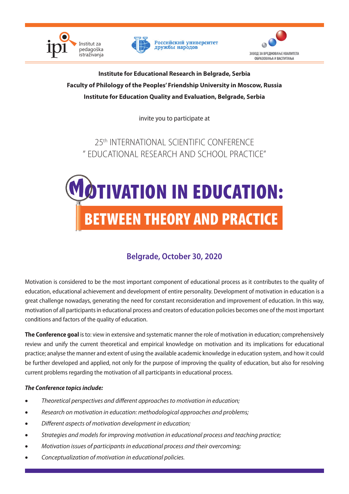



Российский университет дружбы народов



**Institute for Educational Research in Belgrade, Serbia Faculty of Philology of the Peoples' Friendship University in Moscow, Russia Institute for Education Quality and Evaluation, Belgrade, Serbia**

invite you to participate at

25th INTERNATIONAL SCIENTIFIC CONFERENCE " EDUCATIONAL RESEARCH AND SCHOOL PRACTICE"



# **Belgrade, October 30, 2020**

Motivation is considered to be the most important component of educational process as it contributes to the quality of education, educational achievement and development of entire personality. Development of motivation in education is a great challenge nowadays, generating the need for constant reconsideration and improvement of education. In this way, motivation of all participants in educational process and creators of education policies becomes one of the most important conditions and factors of the quality of education.

**The Conference goal** is to: view in extensive and systematic manner the role of motivation in education; comprehensively review and unify the current theoretical and empirical knowledge on motivation and its implications for educational practice; analyse the manner and extent of using the available academic knowledge in education system, and how it could be further developed and applied, not only for the purpose of improving the quality of education, but also for resolving current problems regarding the motivation of all participants in educational process.

# *The Conference topics include:*

- Theoretical perspectives and different approaches to motivation in education;
- Research on motivation in education: methodological approaches and problems;
- • *Different aspects of motivation development in education;*
- • *Strategies and models for improving motivation in educational process and teaching practice;*
- *Motivation issues of participants in educational process and their overcomina:*
- Conceptualization of motivation in educational policies.